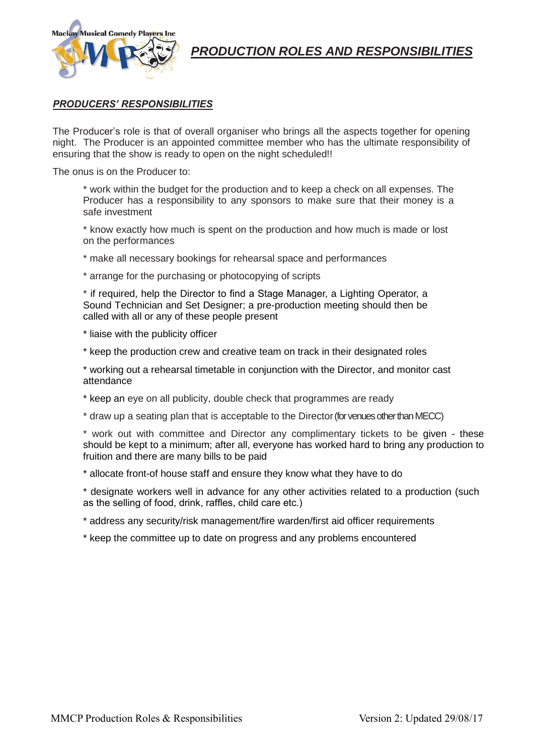

# *PRODUCTION ROLES AND RESPONSIBILITIES*

## *PRODUCERS' RESPONSIBILITIES*

The Producer's role is that of overall organiser who brings all the aspects together for opening night. The Producer is an appointed committee member who has the ultimate responsibility of ensuring that the show is ready to open on the night scheduled!!

The onus is on the Producer to:

- \* work within the budget for the production and to keep a check on all expenses. The Producer has a responsibility to any sponsors to make sure that their money is a safe investment
- \* know exactly how much is spent on the production and how much is made or lost on the performances
- \* make all necessary bookings for rehearsal space and performances
- \* arrange for the purchasing or photocopying of scripts

\* if required, help the Director to find a Stage Manager, a Lighting Operator, a Sound Technician and Set Designer; a pre-production meeting should then be called with all or any of these people present

- \* liaise with the publicity officer
- \* keep the production crew and creative team on track in their designated roles

\* working out a rehearsal timetable in conjunction with the Director, and monitor cast attendance

- \* keep an eye on all publicity, double check that programmes are ready
- \* draw up a seating plan that is acceptable to the Director (for venues other than MECC)

\* work out with committee and Director any complimentary tickets to be given - these should be kept to a minimum; after all, everyone has worked hard to bring any production to fruition and there are many bills to be paid

\* allocate front-of house staff and ensure they know what they have to do

\* designate workers well in advance for any other activities related to a production (such as the selling of food, drink, raffles, child care etc.)

- \* address any security/risk management/fire warden/first aid officer requirements
- \* keep the committee up to date on progress and any problems encountered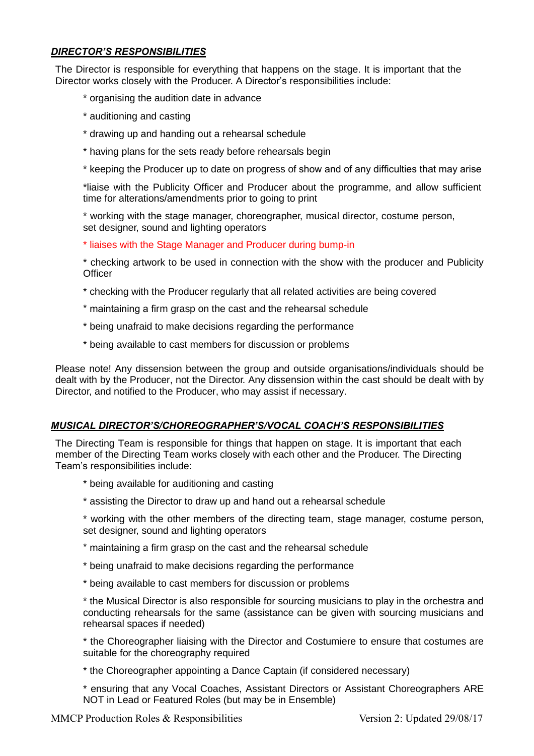# *DIRECTOR'S RESPONSIBILITIES*

The Director is responsible for everything that happens on the stage. It is important that the Director works closely with the Producer. A Director's responsibilities include:

- \* organising the audition date in advance
- \* auditioning and casting
- \* drawing up and handing out a rehearsal schedule
- \* having plans for the sets ready before rehearsals begin
- \* keeping the Producer up to date on progress of show and of any difficulties that may arise

\*liaise with the Publicity Officer and Producer about the programme, and allow sufficient time for alterations/amendments prior to going to print

\* working with the stage manager, choreographer, musical director, costume person, set designer, sound and lighting operators

- \* liaises with the Stage Manager and Producer during bump-in
- \* checking artwork to be used in connection with the show with the producer and Publicity **Officer**
- \* checking with the Producer regularly that all related activities are being covered
- \* maintaining a firm grasp on the cast and the rehearsal schedule
- \* being unafraid to make decisions regarding the performance
- \* being available to cast members for discussion or problems

Please note! Any dissension between the group and outside organisations/individuals should be dealt with by the Producer, not the Director. Any dissension within the cast should be dealt with by Director, and notified to the Producer, who may assist if necessary.

### *MUSICAL DIRECTOR'S/CHOREOGRAPHER'S/VOCAL COACH'S RESPONSIBILITIES*

The Directing Team is responsible for things that happen on stage. It is important that each member of the Directing Team works closely with each other and the Producer. The Directing Team's responsibilities include:

- \* being available for auditioning and casting
- \* assisting the Director to draw up and hand out a rehearsal schedule
- \* working with the other members of the directing team, stage manager, costume person, set designer, sound and lighting operators
- \* maintaining a firm grasp on the cast and the rehearsal schedule
- \* being unafraid to make decisions regarding the performance
- \* being available to cast members for discussion or problems

\* the Musical Director is also responsible for sourcing musicians to play in the orchestra and conducting rehearsals for the same (assistance can be given with sourcing musicians and rehearsal spaces if needed)

\* the Choreographer liaising with the Director and Costumiere to ensure that costumes are suitable for the choreography required

- \* the Choreographer appointing a Dance Captain (if considered necessary)
- \* ensuring that any Vocal Coaches, Assistant Directors or Assistant Choreographers ARE NOT in Lead or Featured Roles (but may be in Ensemble)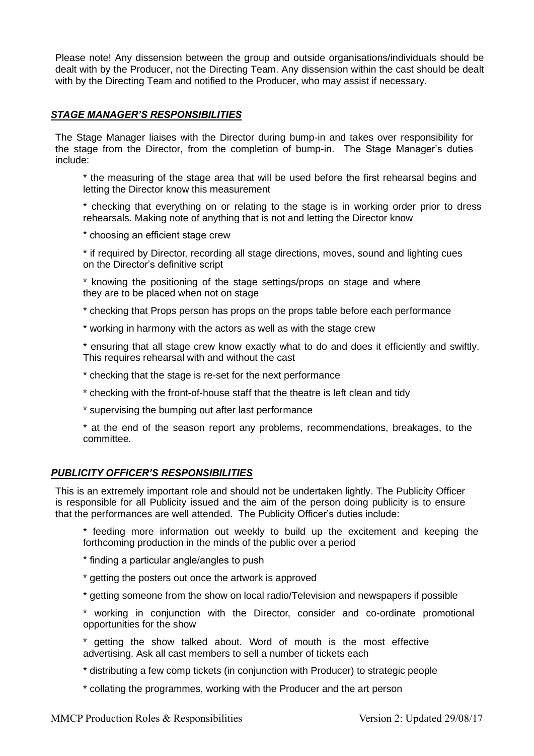Please note! Any dissension between the group and outside organisations/individuals should be dealt with by the Producer, not the Directing Team. Any dissension within the cast should be dealt with by the Directing Team and notified to the Producer, who may assist if necessary.

### *STAGE MANAGER'S RESPONSIBILITIES*

The Stage Manager liaises with the Director during bump-in and takes over responsibility for the stage from the Director, from the completion of bump-in. The Stage Manager's duties include:

\* the measuring of the stage area that will be used before the first rehearsal begins and letting the Director know this measurement

\* checking that everything on or relating to the stage is in working order prior to dress rehearsals. Making note of anything that is not and letting the Director know

\* choosing an efficient stage crew

\* if required by Director, recording all stage directions, moves, sound and lighting cues on the Director's definitive script

\* knowing the positioning of the stage settings/props on stage and where they are to be placed when not on stage

\* checking that Props person has props on the props table before each performance

\* working in harmony with the actors as well as with the stage crew

\* ensuring that all stage crew know exactly what to do and does it efficiently and swiftly. This requires rehearsal with and without the cast

- \* checking that the stage is re-set for the next performance
- \* checking with the front-of-house staff that the theatre is left clean and tidy
- \* supervising the bumping out after last performance

\* at the end of the season report any problems, recommendations, breakages, to the committee.

#### *PUBLICITY OFFICER'S RESPONSIBILITIES*

This is an extremely important role and should not be undertaken lightly. The Publicity Officer is responsible for all Publicity issued and the aim of the person doing publicity is to ensure that the performances are well attended. The Publicity Officer's duties include:

\* feeding more information out weekly to build up the excitement and keeping the forthcoming production in the minds of the public over a period

- \* finding a particular angle/angles to push
- \* getting the posters out once the artwork is approved
- \* getting someone from the show on local radio/Television and newspapers if possible
- \* working in conjunction with the Director, consider and co-ordinate promotional opportunities for the show
- \* getting the show talked about. Word of mouth is the most effective advertising. Ask all cast members to sell a number of tickets each
- \* distributing a few comp tickets (in conjunction with Producer) to strategic people
- \* collating the programmes, working with the Producer and the art person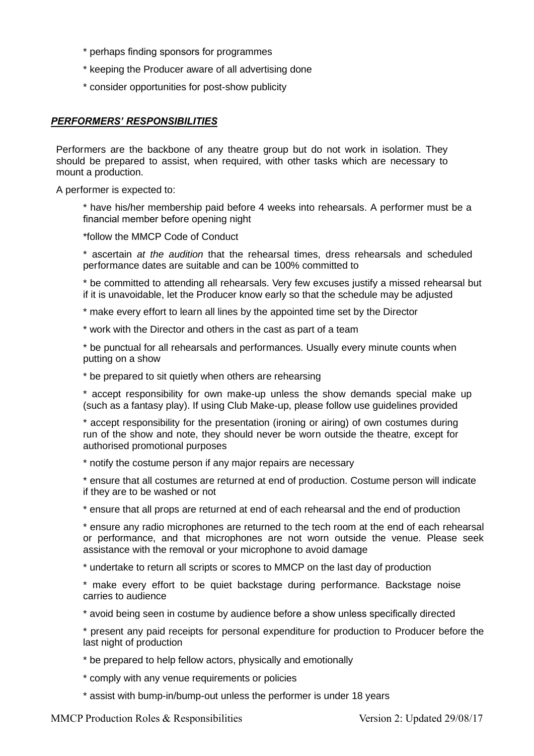- \* perhaps finding sponsors for programmes
- \* keeping the Producer aware of all advertising done
- \* consider opportunities for post-show publicity

#### *PERFORMERS' RESPONSIBILITIES*

Performers are the backbone of any theatre group but do not work in isolation. They should be prepared to assist, when required, with other tasks which are necessary to mount a production.

A performer is expected to:

\* have his/her membership paid before 4 weeks into rehearsals. A performer must be a financial member before opening night

\*follow the MMCP Code of Conduct

\* ascertain *at the audition* that the rehearsal times, dress rehearsals and scheduled performance dates are suitable and can be 100% committed to

\* be committed to attending all rehearsals. Very few excuses justify a missed rehearsal but if it is unavoidable, let the Producer know early so that the schedule may be adjusted

\* make every effort to learn all lines by the appointed time set by the Director

\* work with the Director and others in the cast as part of a team

\* be punctual for all rehearsals and performances. Usually every minute counts when putting on a show

\* be prepared to sit quietly when others are rehearsing

\* accept responsibility for own make-up unless the show demands special make up (such as a fantasy play). If using Club Make-up, please follow use guidelines provided

\* accept responsibility for the presentation (ironing or airing) of own costumes during run of the show and note, they should never be worn outside the theatre, except for authorised promotional purposes

\* notify the costume person if any major repairs are necessary

\* ensure that all costumes are returned at end of production. Costume person will indicate if they are to be washed or not

\* ensure that all props are returned at end of each rehearsal and the end of production

\* ensure any radio microphones are returned to the tech room at the end of each rehearsal or performance, and that microphones are not worn outside the venue. Please seek assistance with the removal or your microphone to avoid damage

\* undertake to return all scripts or scores to MMCP on the last day of production

\* make every effort to be quiet backstage during performance. Backstage noise carries to audience

\* avoid being seen in costume by audience before a show unless specifically directed

\* present any paid receipts for personal expenditure for production to Producer before the last night of production

\* be prepared to help fellow actors, physically and emotionally

\* comply with any venue requirements or policies

\* assist with bump-in/bump-out unless the performer is under 18 years